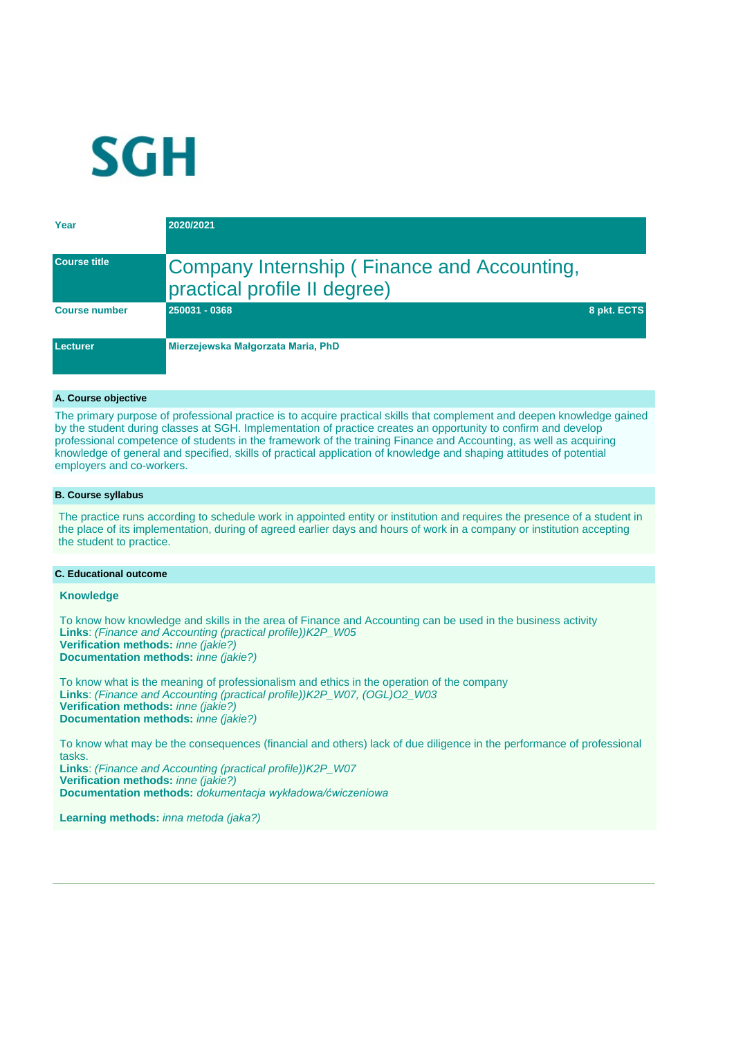

| Year                 | 2020/2021                                                                   |             |
|----------------------|-----------------------------------------------------------------------------|-------------|
| <b>Course title</b>  | Company Internship (Finance and Accounting,<br>practical profile II degree) |             |
| <b>Course number</b> | 250031 - 0368                                                               | 8 pkt. ECTS |
| Lecturer             | Mierzejewska Małgorzata Maria, PhD                                          |             |

### **A. Course objective**

The primary purpose of professional practice is to acquire practical skills that complement and deepen knowledge gained by the student during classes at SGH. Implementation of practice creates an opportunity to confirm and develop professional competence of students in the framework of the training Finance and Accounting, as well as acquiring knowledge of general and specified, skills of practical application of knowledge and shaping attitudes of potential employers and co-workers.

#### **B. Course syllabus**

The practice runs according to schedule work in appointed entity or institution and requires the presence of a student in the place of its implementation, during of agreed earlier days and hours of work in a company or institution accepting the student to practice.

#### **C. Educational outcome**

#### **Knowledge**

To know how knowledge and skills in the area of Finance and Accounting can be used in the business activity **Links**: (Finance and Accounting (practical profile))K2P\_W05 **Verification methods:** inne (jakie?) **Documentation methods:** *inne (jakie?)* 

To know what is the meaning of professionalism and ethics in the operation of the company **Links**: (Finance and Accounting (practical profile))K2P\_W07, (OGL)O2\_W03 **Verification methods:** inne (jakie?) **Documentation methods:** inne (jakie?)

To know what may be the consequences (financial and others) lack of due diligence in the performance of professional tasks. **Links**: (Finance and Accounting (practical profile))K2P\_W07

**Verification methods:** inne (jakie?) **Documentation methods:** *dokumentacja wykładowa/ćwiczeniowa*

Learning methods: *inna metoda (jaka?)*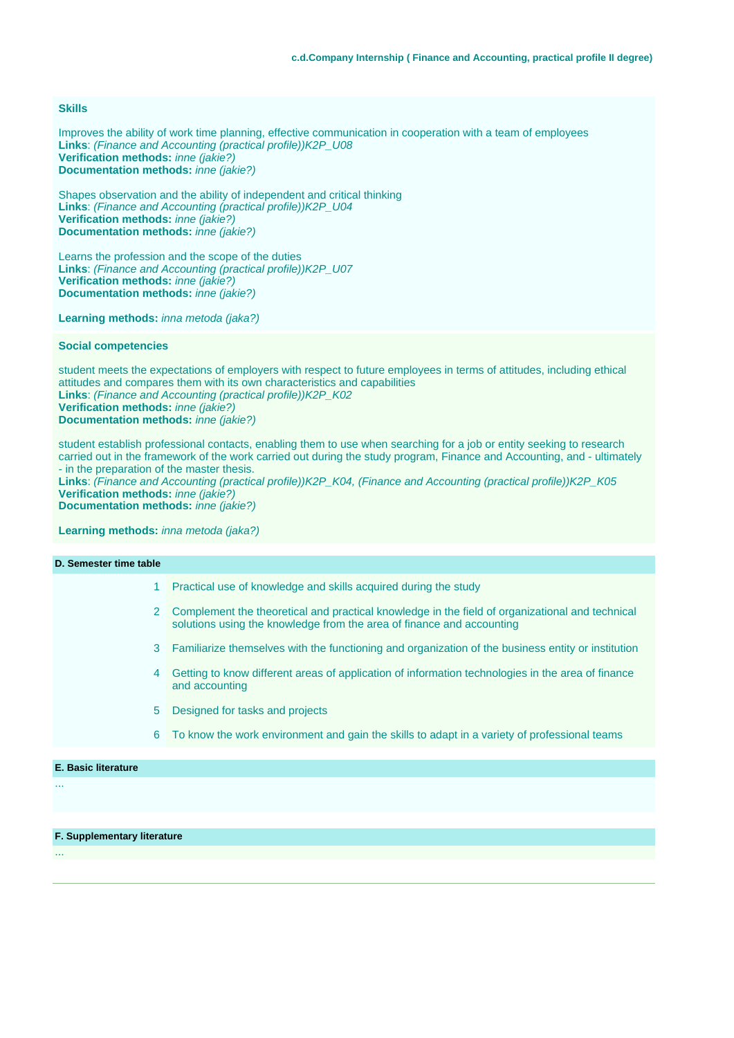## **Skills**

Improves the ability of work time planning, effective communication in cooperation with a team of employees **Links**: (Finance and Accounting (practical profile))K2P\_U08 **Verification methods:** inne (jakie?) **Documentation methods:** inne (jakie?)

Shapes observation and the ability of independent and critical thinking **Links**: (Finance and Accounting (practical profile))K2P\_U04 **Verification methods:** inne (jakie?) **Documentation methods:** inne (jakie?)

Learns the profession and the scope of the duties **Links**: (Finance and Accounting (practical profile))K2P\_U07 **Verification methods:** inne (jakie?) **Documentation methods:** inne (jakie?)

Learning methods: *inna metoda (jaka?)* 

#### **Social competencies**

student meets the expectations of employers with respect to future employees in terms of attitudes, including ethical attitudes and compares them with its own characteristics and capabilities **Links**: (Finance and Accounting (practical profile))K2P\_K02 **Verification methods:** inne (jakie?) **Documentation methods:** inne (jakie?)

student establish professional contacts, enabling them to use when searching for a job or entity seeking to research carried out in the framework of the work carried out during the study program, Finance and Accounting, and - ultimately - in the preparation of the master thesis.

**Links**: (Finance and Accounting (practical profile))K2P\_K04, (Finance and Accounting (practical profile))K2P\_K05 **Verification methods:** inne (jakie?) **Documentation methods:** inne (jakie?)

**Learning methods:** inna metoda (jaka?)

| D. Semester time table |                                                                                                                                                                          |
|------------------------|--------------------------------------------------------------------------------------------------------------------------------------------------------------------------|
|                        | Practical use of knowledge and skills acquired during the study                                                                                                          |
| 2                      | Complement the theoretical and practical knowledge in the field of organizational and technical<br>solutions using the knowledge from the area of finance and accounting |
|                        | 3 Familiarize themselves with the functioning and organization of the business entity or institution                                                                     |
| 4                      | Getting to know different areas of application of information technologies in the area of finance<br>and accounting                                                      |
| 5                      | Designed for tasks and projects                                                                                                                                          |
| 6                      | To know the work environment and gain the skills to adapt in a variety of professional teams                                                                             |
|                        |                                                                                                                                                                          |

**E. Basic literature**

...

...